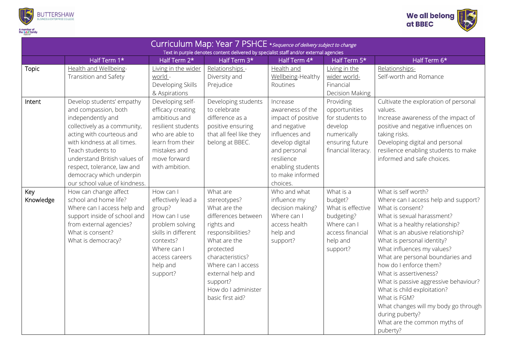



| Curriculum Map: Year 7 PSHCE * sequence of delivery subject to change<br>Text in purple denotes content delivered by specialist staff and/or external agencies |                                                                                                                                                                                                                                                                                                                     |                                                                                                                                                                            |                                                                                                                                                                                                                                                       |                                                                                                                                                                                            |                                                                                                                    |                                                                                                                                                                                                                                                                                                                                                                                                                                                                                                                                         |  |  |  |  |
|----------------------------------------------------------------------------------------------------------------------------------------------------------------|---------------------------------------------------------------------------------------------------------------------------------------------------------------------------------------------------------------------------------------------------------------------------------------------------------------------|----------------------------------------------------------------------------------------------------------------------------------------------------------------------------|-------------------------------------------------------------------------------------------------------------------------------------------------------------------------------------------------------------------------------------------------------|--------------------------------------------------------------------------------------------------------------------------------------------------------------------------------------------|--------------------------------------------------------------------------------------------------------------------|-----------------------------------------------------------------------------------------------------------------------------------------------------------------------------------------------------------------------------------------------------------------------------------------------------------------------------------------------------------------------------------------------------------------------------------------------------------------------------------------------------------------------------------------|--|--|--|--|
|                                                                                                                                                                | Half Term 1*                                                                                                                                                                                                                                                                                                        | Half Term 2*                                                                                                                                                               | Half Term 3*                                                                                                                                                                                                                                          | Half Term 4*                                                                                                                                                                               | Half Term 5*                                                                                                       | Half Term 6*                                                                                                                                                                                                                                                                                                                                                                                                                                                                                                                            |  |  |  |  |
| Topic                                                                                                                                                          | Health and Wellbeing-<br>Transition and Safety                                                                                                                                                                                                                                                                      | Living in the wider<br>world -<br>Developing Skills<br>& Aspirations                                                                                                       | Relationships -<br>Diversity and<br>Prejudice                                                                                                                                                                                                         | Health and<br>Wellbeing-Healthy<br>Routines                                                                                                                                                | Living in the<br>wider world-<br>Financial<br>Decision Making                                                      | Relationships-<br>Self-worth and Romance                                                                                                                                                                                                                                                                                                                                                                                                                                                                                                |  |  |  |  |
| Intent                                                                                                                                                         | Develop students' empathy<br>and compassion, both<br>independently and<br>collectively as a community,<br>acting with courteous and<br>with kindness at all times.<br>Teach students to<br>understand British values of<br>respect, tolerance, law and<br>democracy which underpin<br>our school value of kindness. | Developing self-<br>efficacy creating<br>ambitious and<br>resilient students<br>who are able to<br>learn from their<br>mistakes and<br>move forward<br>with ambition.      | Developing students<br>to celebrate<br>difference as a<br>positive ensuring<br>that all feel like they<br>belong at BBEC.                                                                                                                             | Increase<br>awareness of the<br>impact of positive<br>and negative<br>influences and<br>develop digital<br>and personal<br>resilience<br>enabling students<br>to make informed<br>choices. | Providing<br>opportunities<br>for students to<br>develop<br>numerically<br>ensuring future<br>financial literacy.  | Cultivate the exploration of personal<br>values.<br>Increase awareness of the impact of<br>positive and negative influences on<br>taking risks.<br>Developing digital and personal<br>resilience enabling students to make<br>informed and safe choices.                                                                                                                                                                                                                                                                                |  |  |  |  |
| Key<br>Knowledge                                                                                                                                               | How can change affect<br>school and home life?<br>Where can I access help and<br>support inside of school and<br>from external agencies?<br>What is consent?<br>What is democracy?                                                                                                                                  | How can I<br>effectively lead a<br>group?<br>How can I use<br>problem solving<br>skills in different<br>contexts?<br>Where can I<br>access careers<br>help and<br>support? | What are<br>stereotypes?<br>What are the<br>differences between<br>rights and<br>responsibilities?<br>What are the<br>protected<br>characteristics?<br>Where can I access<br>external help and<br>support?<br>How do I administer<br>basic first aid? | Who and what<br>influence my<br>decision making?<br>Where can I<br>access health<br>help and<br>support?                                                                                   | What is a<br>budget?<br>What is effective<br>budgeting?<br>Where can I<br>access financial<br>help and<br>support? | What is self worth?<br>Where can I access help and support?<br>What is consent?<br>What is sexual harassment?<br>What is a healthy relationship?<br>What is an abusive relationship?<br>What is personal identity?<br>What influences my values?<br>What are personal boundaries and<br>how do I enforce them?<br>What is assertiveness?<br>What is passive aggressive behaviour?<br>What is child exploitation?<br>What is FGM?<br>What changes will my body go through<br>during puberty?<br>What are the common myths of<br>puberty? |  |  |  |  |